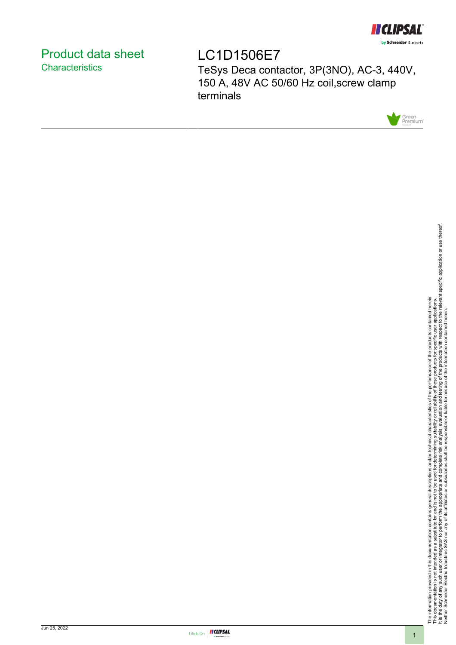

# <span id="page-0-0"></span>Product data sheet **Characteristics**

LC1D1506E7 TeSys Deca contactor, 3P(3NO), AC-3, 440V, 150 A, 48V AC 50/60 Hz coil,screw clamp terminals



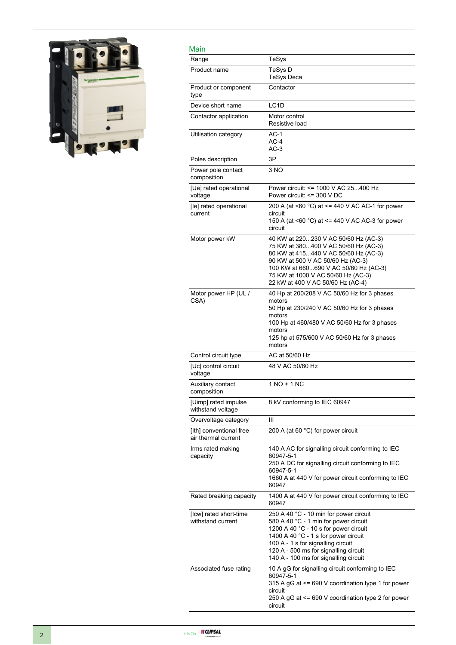

| Main                                           |                                                                                                                                                                                                                                                                                          |
|------------------------------------------------|------------------------------------------------------------------------------------------------------------------------------------------------------------------------------------------------------------------------------------------------------------------------------------------|
| Range                                          | TeSys                                                                                                                                                                                                                                                                                    |
| Product name                                   | TeSys D<br>TeSys Deca                                                                                                                                                                                                                                                                    |
| Product or component<br>type                   | Contactor                                                                                                                                                                                                                                                                                |
| Device short name                              | LC <sub>1</sub> D                                                                                                                                                                                                                                                                        |
| Contactor application                          | Motor control<br>Resistive load                                                                                                                                                                                                                                                          |
| Utilisation category                           | $AC-1$<br>$AC-4$<br>$AC-3$                                                                                                                                                                                                                                                               |
| Poles description                              | 3P                                                                                                                                                                                                                                                                                       |
| Power pole contact<br>composition              | 3 NO                                                                                                                                                                                                                                                                                     |
| [Ue] rated operational<br>voltage              | Power circuit: <= 1000 V AC 25400 Hz<br>Power circuit: <= 300 V DC                                                                                                                                                                                                                       |
| [le] rated operational<br>current              | 200 A (at <60 $^{\circ}$ C) at <= 440 V AC AC-1 for power<br>circuit<br>150 A (at $\leq 60$ °C) at $\leq$ 440 V AC AC-3 for power<br>circuit                                                                                                                                             |
| Motor power kW                                 | 40 KW at 220230 V AC 50/60 Hz (AC-3)<br>75 KW at 380400 V AC 50/60 Hz (AC-3)<br>80 KW at 415440 V AC 50/60 Hz (AC-3)<br>90 KW at 500 V AC 50/60 Hz (AC-3)<br>100 KW at 660690 V AC 50/60 Hz (AC-3)<br>75 KW at 1000 V AC 50/60 Hz (AC-3)<br>22 kW at 400 V AC 50/60 Hz (AC-4)            |
| Motor power HP (UL /<br>CSA)                   | 40 Hp at 200/208 V AC 50/60 Hz for 3 phases<br>motors<br>50 Hp at 230/240 V AC 50/60 Hz for 3 phases<br>motors<br>100 Hp at 460/480 V AC 50/60 Hz for 3 phases<br>motors<br>125 hp at 575/600 V AC 50/60 Hz for 3 phases<br>motors                                                       |
| Control circuit type                           | AC at 50/60 Hz                                                                                                                                                                                                                                                                           |
| [Uc] control circuit<br>voltage                | 48 V AC 50/60 Hz                                                                                                                                                                                                                                                                         |
| Auxiliary contact<br>composition               | $1 NQ + 1 NC$                                                                                                                                                                                                                                                                            |
| [Uimp] rated impulse<br>withstand voltage      | 8 kV conforming to IEC 60947                                                                                                                                                                                                                                                             |
| Overvoltage category                           | Ш                                                                                                                                                                                                                                                                                        |
| [Ith] conventional free<br>air thermal current | 200 A (at 60 °C) for power circuit                                                                                                                                                                                                                                                       |
| Irms rated making<br>capacity                  | 140 A AC for signalling circuit conforming to IEC<br>60947-5-1<br>250 A DC for signalling circuit conforming to IEC<br>60947-5-1<br>1660 A at 440 V for power circuit conforming to IEC<br>60947                                                                                         |
| Rated breaking capacity                        | 1400 A at 440 V for power circuit conforming to IEC<br>60947                                                                                                                                                                                                                             |
| [Icw] rated short-time<br>withstand current    | 250 A 40 °C - 10 min for power circuit<br>580 A 40 °C - 1 min for power circuit<br>1200 A 40 °C - 10 s for power circuit<br>1400 A 40 °C - 1 s for power circuit<br>100 A - 1 s for signalling circuit<br>120 A - 500 ms for signalling circuit<br>140 A - 100 ms for signalling circuit |
| Associated fuse rating                         | 10 A gG for signalling circuit conforming to IEC<br>60947-5-1<br>315 A gG at <= 690 V coordination type 1 for power<br>circuit<br>250 A gG at <= 690 V coordination type 2 for power<br>circuit                                                                                          |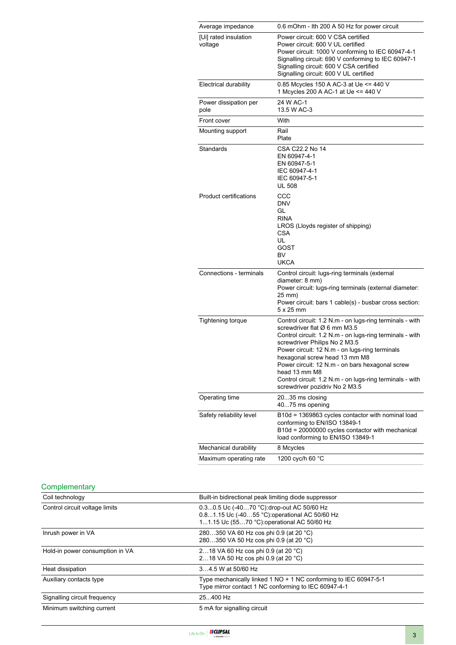| Average impedance                | 0.6 mOhm - Ith 200 A 50 Hz for power circuit                                                                                                                                                                                                                                                                                                                                                                                               |
|----------------------------------|--------------------------------------------------------------------------------------------------------------------------------------------------------------------------------------------------------------------------------------------------------------------------------------------------------------------------------------------------------------------------------------------------------------------------------------------|
| [Ui] rated insulation<br>voltage | Power circuit: 600 V CSA certified<br>Power circuit: 600 V UL certified<br>Power circuit: 1000 V conforming to IEC 60947-4-1<br>Signalling circuit: 690 V conforming to IEC 60947-1<br>Signalling circuit: 600 V CSA certified<br>Signalling circuit: 600 V UL certified                                                                                                                                                                   |
| <b>Electrical durability</b>     | 0.85 Mcycles 150 A AC-3 at Ue <= 440 V<br>1 Mcycles 200 A AC-1 at Ue <= 440 V                                                                                                                                                                                                                                                                                                                                                              |
| Power dissipation per<br>pole    | 24 W AC-1<br>13.5 W AC-3                                                                                                                                                                                                                                                                                                                                                                                                                   |
| Front cover                      | With                                                                                                                                                                                                                                                                                                                                                                                                                                       |
| Mounting support                 | Rail<br>Plate                                                                                                                                                                                                                                                                                                                                                                                                                              |
| Standards                        | CSA C22.2 No 14<br>EN 60947-4-1<br>EN 60947-5-1<br>IEC 60947-4-1<br>IEC 60947-5-1<br><b>UL 508</b>                                                                                                                                                                                                                                                                                                                                         |
| <b>Product certifications</b>    | CCC<br><b>DNV</b><br>GL<br><b>RINA</b><br>LROS (Lloyds register of shipping)<br><b>CSA</b><br>UL<br>GOST<br>BV<br><b>UKCA</b>                                                                                                                                                                                                                                                                                                              |
| Connections - terminals          | Control circuit: lugs-ring terminals (external<br>diameter: 8 mm)<br>Power circuit: lugs-ring terminals (external diameter:<br>25 mm)<br>Power circuit: bars 1 cable(s) - busbar cross section:<br>$5 \times 25$ mm                                                                                                                                                                                                                        |
| <b>Tightening torque</b>         | Control circuit: 1.2 N.m - on lugs-ring terminals - with<br>screwdriver flat Ø 6 mm M3.5<br>Control circuit: 1.2 N.m - on lugs-ring terminals - with<br>screwdriver Philips No 2 M3.5<br>Power circuit: 12 N.m - on lugs-ring terminals<br>hexagonal screw head 13 mm M8<br>Power circuit: 12 N.m - on bars hexagonal screw<br>head 13 mm M8<br>Control circuit: 1.2 N.m - on lugs-ring terminals - with<br>screwdriver pozidriv No 2 M3.5 |
| Operating time                   | 2035 ms closing<br>4075 ms opening                                                                                                                                                                                                                                                                                                                                                                                                         |
| Safety reliability level         | B10d = 1369863 cycles contactor with nominal load<br>conforming to EN/ISO 13849-1<br>B10d = 20000000 cycles contactor with mechanical<br>load conforming to EN/ISO 13849-1                                                                                                                                                                                                                                                                 |
| Mechanical durability            | 8 Mcycles                                                                                                                                                                                                                                                                                                                                                                                                                                  |
| Maximum operating rate           | 1200 cyc/h 60 °C                                                                                                                                                                                                                                                                                                                                                                                                                           |

# **Complementary**

| Coil technology                 | Built-in bidirectional peak limiting diode suppressor                                                                                      |
|---------------------------------|--------------------------------------------------------------------------------------------------------------------------------------------|
| Control circuit voltage limits  | 0.30.5 Uc (-4070 °C) drop-out AC 50/60 Hz<br>0.81.15 Uc (-4055 °C): operational AC 50/60 Hz<br>11.15 Uc (5570 °C): operational AC 50/60 Hz |
| Inrush power in VA              | 280350 VA 60 Hz cos phi 0.9 (at 20 °C)<br>280350 VA 50 Hz cos phi 0.9 (at 20 °C)                                                           |
| Hold-in power consumption in VA | 218 VA 60 Hz cos phi 0.9 (at 20 °C)<br>218 VA 50 Hz cos phi 0.9 (at 20 °C)                                                                 |
| Heat dissipation                | 34.5 W at 50/60 Hz                                                                                                                         |
| Auxiliary contacts type         | Type mechanically linked 1 NO + 1 NC conforming to IEC 60947-5-1<br>Type mirror contact 1 NC conforming to IEC 60947-4-1                   |
| Signalling circuit frequency    | 25400 Hz                                                                                                                                   |
| Minimum switching current       | 5 mA for signalling circuit                                                                                                                |